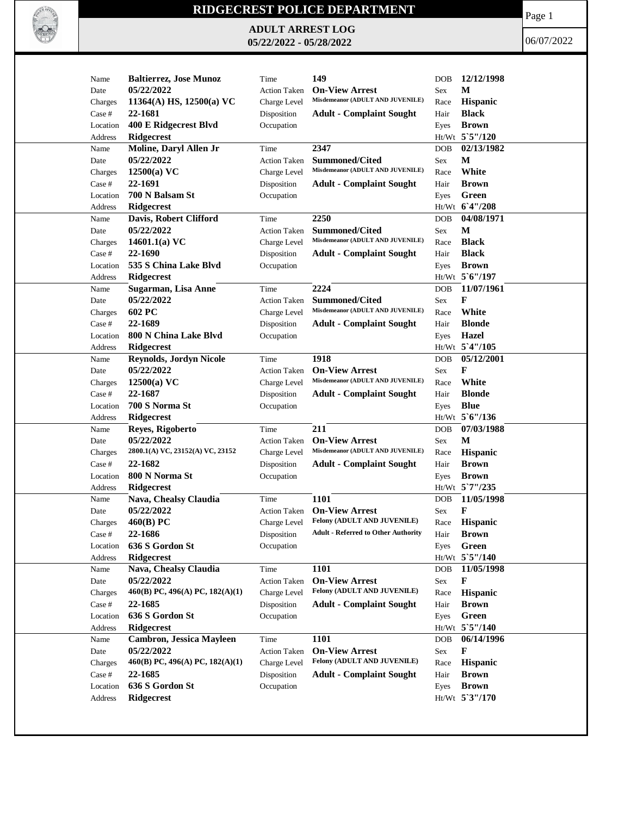

## **RIDGECREST POLICE DEPARTMENT**

**ADULT ARREST LOG 05/22/2022 - 05/28/2022**

Page 1

06/07/2022

| Name     | <b>Baltierrez, Jose Munoz</b>    | Time                | 149                                        | <b>DOB</b> | 12/12/1998       |
|----------|----------------------------------|---------------------|--------------------------------------------|------------|------------------|
| Date     | 05/22/2022                       | <b>Action Taken</b> | <b>On-View Arrest</b>                      | Sex        | M                |
| Charges  | 11364(A) HS, $12500(a)$ VC       | Charge Level        | Misdemeanor (ADULT AND JUVENILE)           | Race       | Hispanic         |
| Case #   | 22-1681                          | Disposition         | <b>Adult - Complaint Sought</b>            | Hair       | <b>Black</b>     |
| Location | 400 E Ridgecrest Blvd            | Occupation          |                                            | Eyes       | <b>Brown</b>     |
| Address  | <b>Ridgecrest</b>                |                     |                                            |            | Ht/Wt 5`5"/120   |
| Name     | Moline, Daryl Allen Jr           | Time                | 2347                                       | <b>DOB</b> | 02/13/1982       |
| Date     | 05/22/2022                       | <b>Action Taken</b> | <b>Summoned/Cited</b>                      | Sex        | М                |
| Charges  | $12500(a)$ VC                    | Charge Level        | Misdemeanor (ADULT AND JUVENILE)           | Race       | White            |
| Case #   | 22-1691                          | Disposition         | <b>Adult - Complaint Sought</b>            | Hair       | <b>Brown</b>     |
| Location | 700 N Balsam St                  | Occupation          |                                            | Eyes       | Green            |
| Address  | <b>Ridgecrest</b>                |                     |                                            |            | Ht/Wt 6'4"/208   |
| Name     | Davis, Robert Clifford           | Time                | 2250                                       | <b>DOB</b> | 04/08/1971       |
| Date     | 05/22/2022                       | <b>Action Taken</b> | <b>Summoned/Cited</b>                      | Sex        | М                |
| Charges  | 14601.1(a) $VC$                  | Charge Level        | Misdemeanor (ADULT AND JUVENILE)           | Race       | <b>Black</b>     |
| Case #   | 22-1690                          | Disposition         | <b>Adult - Complaint Sought</b>            | Hair       | <b>Black</b>     |
| Location | 535 S China Lake Blvd            | Occupation          |                                            | Eyes       | <b>Brown</b>     |
| Address  | Ridgecrest                       |                     |                                            |            | Ht/Wt 5'6"/197   |
| Name     | Sugarman, Lisa Anne              | Time                | 2224                                       | <b>DOB</b> | 11/07/1961       |
| Date     | 05/22/2022                       | <b>Action Taken</b> | <b>Summoned/Cited</b>                      | Sex        | $\mathbf{F}$     |
| Charges  | 602 PC                           | Charge Level        | Misdemeanor (ADULT AND JUVENILE)           | Race       | White            |
| Case #   | 22-1689                          | Disposition         | <b>Adult - Complaint Sought</b>            | Hair       | <b>Blonde</b>    |
| Location | 800 N China Lake Blvd            | Occupation          |                                            | Eyes       | Hazel            |
| Address  | <b>Ridgecrest</b>                |                     |                                            |            | Ht/Wt 5'4"/105   |
| Name     | <b>Reynolds, Jordyn Nicole</b>   | Time                | 1918                                       | <b>DOB</b> | 05/12/2001       |
| Date     | 05/22/2022                       | <b>Action Taken</b> | <b>On-View Arrest</b>                      | Sex        | F                |
| Charges  | $12500(a)$ VC                    | Charge Level        | Misdemeanor (ADULT AND JUVENILE)           | Race       | White            |
| Case #   | 22-1687                          | Disposition         | <b>Adult - Complaint Sought</b>            | Hair       | <b>Blonde</b>    |
| Location | 700 S Norma St                   | Occupation          |                                            | Eyes       | <b>Blue</b>      |
| Address  | <b>Ridgecrest</b>                |                     |                                            |            | Ht/Wt 5'6"/136   |
| Name     | Reyes, Rigoberto                 | Time                | 211                                        | <b>DOB</b> | 07/03/1988       |
| Date     | 05/22/2022                       | <b>Action Taken</b> | <b>On-View Arrest</b>                      | Sex        | M                |
| Charges  | 2800.1(A) VC, 23152(A) VC, 23152 | Charge Level        | Misdemeanor (ADULT AND JUVENILE)           | Race       | Hispanic         |
| Case #   | 22-1682                          | Disposition         | <b>Adult - Complaint Sought</b>            | Hair       | <b>Brown</b>     |
| Location | 800 N Norma St                   | Occupation          |                                            | Eyes       | <b>Brown</b>     |
| Address  | Ridgecrest                       |                     |                                            |            | Ht/Wt 5`7"/235   |
| Name     | Nava, Chealsy Claudia            | Time                | 1101                                       | <b>DOB</b> | 11/05/1998       |
| Date     | 05/22/2022                       | <b>Action Taken</b> | <b>On-View Arrest</b>                      | Sex        | F                |
| Charges  | 460(B) PC                        | Charge Level        | <b>Felony (ADULT AND JUVENILE)</b>         | Race       | <b>Hispanic</b>  |
| Case #   | 22-1686                          | Disposition         | <b>Adult - Referred to Other Authority</b> | Hair       | <b>Brown</b>     |
| Location | 636 S Gordon St                  | Occupation          |                                            | Eyes       | Green            |
| Address  | Ridgecrest                       |                     |                                            |            | Ht/Wt 5'5"/140   |
| Name     | Nava, Chealsy Claudia            | Time                | 1101                                       | <b>DOB</b> | 11/05/1998       |
| Date     | 05/22/2022                       | Action Taken        | <b>On-View Arrest</b>                      | Sex        | F                |
| Charges  | 460(B) PC, 496(A) PC, 182(A)(1)  | Charge Level        | Felony (ADULT AND JUVENILE)                | Race       | Hispanic         |
| Case #   | 22-1685                          | Disposition         | <b>Adult - Complaint Sought</b>            | Hair       | <b>Brown</b>     |
| Location | 636 S Gordon St                  | Occupation          |                                            | Eyes       | Green            |
| Address  | Ridgecrest                       |                     |                                            |            | $Ht/Wt$ 5 5"/140 |
| Name     | <b>Cambron, Jessica Mayleen</b>  | Time                | 1101                                       | DOB        | 06/14/1996       |
| Date     | 05/22/2022                       | Action Taken        | <b>On-View Arrest</b>                      | <b>Sex</b> | F                |
| Charges  | 460(B) PC, 496(A) PC, 182(A)(1)  | Charge Level        | Felony (ADULT AND JUVENILE)                | Race       | Hispanic         |
| Case #   | 22-1685                          | Disposition         | <b>Adult - Complaint Sought</b>            | Hair       | <b>Brown</b>     |
| Location | 636 S Gordon St                  | Occupation          |                                            | Eyes       | <b>Brown</b>     |
| Address  | Ridgecrest                       |                     |                                            |            | Ht/Wt 5'3"/170   |
|          |                                  |                     |                                            |            |                  |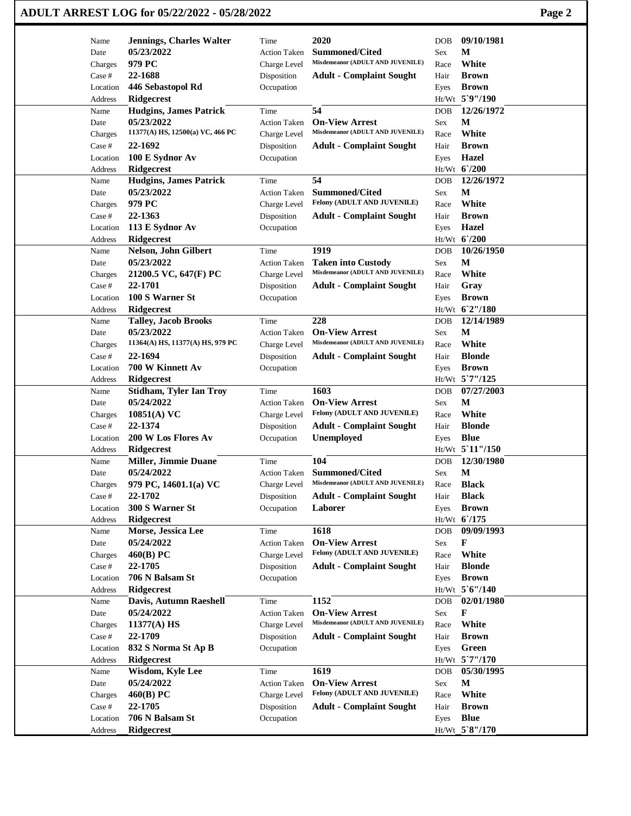| ADULT ARREST LOG for 05/22/2022 - 05/28/2022 | Page 2 |
|----------------------------------------------|--------|
|----------------------------------------------|--------|

| Name                | <b>Jennings, Charles Walter</b>             | Time                      | 2020                                                 | DOB          | 09/10/1981                   |
|---------------------|---------------------------------------------|---------------------------|------------------------------------------------------|--------------|------------------------------|
| Date                | 05/23/2022                                  | <b>Action Taken</b>       | Summoned/Cited<br>Misdemeanor (ADULT AND JUVENILE)   | Sex          | м                            |
| Charges             | 979 PC                                      | Charge Level              |                                                      | Race         | White                        |
| Case #              | 22-1688                                     | Disposition               | <b>Adult - Complaint Sought</b>                      | Hair         | <b>Brown</b>                 |
| Location            | 446 Sebastopol Rd                           | Occupation                |                                                      | Eyes         | <b>Brown</b>                 |
| Address             | Ridgecrest                                  |                           | 54                                                   |              | Ht/Wt 5`9"/190<br>12/26/1972 |
| Name                | <b>Hudgins, James Patrick</b><br>05/23/2022 | Time                      | <b>On-View Arrest</b>                                | <b>DOB</b>   | M                            |
| Date                | 11377(A) HS, 12500(a) VC, 466 PC            | <b>Action Taken</b>       | Misdemeanor (ADULT AND JUVENILE)                     | Sex          | White                        |
| Charges             |                                             | Charge Level              |                                                      | Race         |                              |
| Case #              | 22-1692<br>100 E Sydnor Av                  | Disposition               | <b>Adult - Complaint Sought</b>                      | Hair         | <b>Brown</b><br><b>Hazel</b> |
| Location<br>Address | Ridgecrest                                  | Occupation                |                                                      | Eyes         | Ht/Wt 6'/200                 |
| Name                | <b>Hudgins, James Patrick</b>               | Time                      | 54                                                   | <b>DOB</b>   | 12/26/1972                   |
| Date                | 05/23/2022                                  | <b>Action Taken</b>       | <b>Summoned/Cited</b>                                | Sex          | M                            |
| Charges             | 979 PC                                      | Charge Level              | Felony (ADULT AND JUVENILE)                          | Race         | White                        |
| Case #              | 22-1363                                     | Disposition               | <b>Adult - Complaint Sought</b>                      | Hair         | <b>Brown</b>                 |
| Location            | 113 E Sydnor Av                             | Occupation                |                                                      | Eyes         | Hazel                        |
| Address             | Ridgecrest                                  |                           |                                                      |              | Ht/Wt 6/200                  |
| Name                | Nelson, John Gilbert                        | Time                      | 1919                                                 | DOB          | 10/26/1950                   |
| Date                | 05/23/2022                                  | <b>Action Taken</b>       | <b>Taken into Custody</b>                            | Sex          | М                            |
| Charges             | 21200.5 VC, 647(F) PC                       | Charge Level              | Misdemeanor (ADULT AND JUVENILE)                     | Race         | White                        |
| Case #              | 22-1701                                     | Disposition               | <b>Adult - Complaint Sought</b>                      | Hair         | Gray                         |
| Location            | 100 S Warner St                             | Occupation                |                                                      | Eyes         | <b>Brown</b>                 |
| Address             | Ridgecrest                                  |                           |                                                      |              | Ht/Wt 62"/180                |
| Name                | <b>Talley, Jacob Brooks</b>                 | Time                      | 228                                                  | <b>DOB</b>   | 12/14/1989                   |
| Date                | 05/23/2022                                  | <b>Action Taken</b>       | <b>On-View Arrest</b>                                | Sex          | M                            |
| Charges             | 11364(A) HS, 11377(A) HS, 979 PC            | Charge Level              | Misdemeanor (ADULT AND JUVENILE)                     | Race         | White                        |
| Case #              | 22-1694                                     | Disposition               | <b>Adult - Complaint Sought</b>                      | Hair         | <b>Blonde</b>                |
| Location            | 700 W Kinnett Av                            | Occupation                |                                                      | Eyes         | <b>Brown</b>                 |
| Address             | <b>Ridgecrest</b>                           |                           |                                                      |              | Ht/Wt 5`7"/125               |
| Name                | <b>Stidham, Tyler Ian Troy</b>              | Time                      | 1603                                                 | <b>DOB</b>   | 07/27/2003                   |
| Date                | 05/24/2022                                  | <b>Action Taken</b>       | <b>On-View Arrest</b>                                | Sex          | M                            |
| Charges             | 10851(A) VC                                 | Charge Level              | Felony (ADULT AND JUVENILE)                          | Race         | White                        |
| Case #              | 22-1374                                     | Disposition               | <b>Adult - Complaint Sought</b>                      | Hair         | <b>Blonde</b>                |
| Location            | 200 W Los Flores Av                         | Occupation                | Unemployed                                           | Eyes         | <b>Blue</b>                  |
| Address             | Ridgecrest                                  |                           |                                                      |              | Ht/Wt 5'11"/150              |
| Name                | <b>Miller, Jimmie Duane</b>                 | Time                      | 104                                                  | DOB          | 12/30/1980                   |
| Date                | 05/24/2022                                  | <b>Action Taken</b>       | <b>Summoned/Cited</b>                                | Sex          | M                            |
| Charges             | 979 PC, 14601.1(a) VC                       | Charge Level              | Misdemeanor (ADULT AND JUVENILE)                     | Race         | <b>Black</b>                 |
| Case #              | 22-1702                                     | Disposition               | <b>Adult - Complaint Sought</b>                      | Hair         | <b>Black</b>                 |
| Location            | 300 S Warner St                             | Occupation                | Laborer                                              | Eyes         | <b>Brown</b>                 |
| Address             | Ridgecrest                                  |                           |                                                      |              | $Ht/Wt$ 6/175                |
| Name                | Morse, Jessica Lee                          | Time                      | 1618                                                 | DOB          | 09/09/1993                   |
| Date                | 05/24/2022                                  | <b>Action Taken</b>       | <b>On-View Arrest</b>                                | Sex          | F                            |
| Charges             | 460(B) PC                                   | Charge Level              | Felony (ADULT AND JUVENILE)                          | Race         | White                        |
| Case #              | 22-1705                                     | Disposition               | <b>Adult - Complaint Sought</b>                      | Hair         | <b>Blonde</b>                |
| Location            | 706 N Balsam St                             | Occupation                |                                                      | Eyes         | <b>Brown</b>                 |
| Address             | <b>Ridgecrest</b>                           |                           |                                                      |              | Ht/Wt 5'6"/140               |
| Name                | Davis, Autumn Raeshell                      | Time                      | 1152                                                 | DOB          | 02/01/1980                   |
| Date                | 05/24/2022                                  | Action Taken              | <b>On-View Arrest</b>                                | Sex          | F                            |
| Charges             | 11377(A) HS                                 | Charge Level              | Misdemeanor (ADULT AND JUVENILE)                     | Race         | White                        |
| Case #              | 22-1709                                     | Disposition               | <b>Adult - Complaint Sought</b>                      | Hair         | <b>Brown</b>                 |
| Location            | 832 S Norma St Ap B                         | Occupation                |                                                      | Eyes         | Green                        |
| Address             | Ridgecrest                                  |                           |                                                      |              | Ht/Wt 5'7"/170               |
| Name                | Wisdom, Kyle Lee                            | Time                      | 1619                                                 | DOB          | 05/30/1995<br>M              |
| Date                | 05/24/2022                                  | Action Taken              | <b>On-View Arrest</b><br>Felony (ADULT AND JUVENILE) | Sex          | White                        |
| Charges             | 460(B) PC<br>22-1705                        | Charge Level              | <b>Adult - Complaint Sought</b>                      | Race<br>Hair | <b>Brown</b>                 |
| Case #<br>Location  | 706 N Balsam St                             | Disposition<br>Occupation |                                                      | Eyes         | <b>Blue</b>                  |
| Address             | Ridgecrest                                  |                           |                                                      |              | Ht/Wt_5`8"/170               |
|                     |                                             |                           |                                                      |              |                              |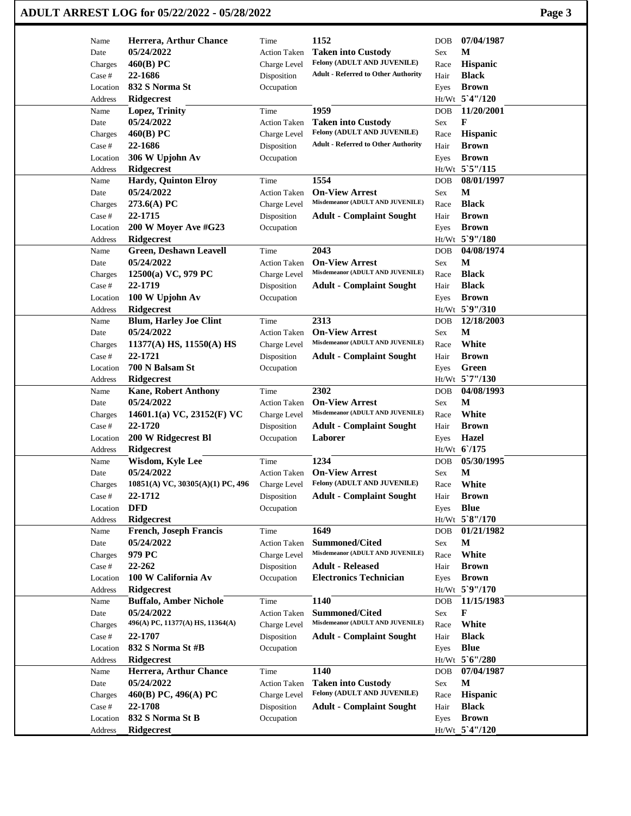| ADULT ARREST LOG for 05/22/2022 - 05/28/2022 | Page 3 |
|----------------------------------------------|--------|
|----------------------------------------------|--------|

| Name                    | Herrera, Arthur Chance                 | Time                | 1152                                       | <b>DOB</b>   | 07/04/1987      |
|-------------------------|----------------------------------------|---------------------|--------------------------------------------|--------------|-----------------|
| Date                    | 05/24/2022                             | <b>Action Taken</b> | <b>Taken into Custody</b>                  | Sex          | M               |
| Charges                 | 460(B) PC                              | Charge Level        | Felony (ADULT AND JUVENILE)                | Race         | Hispanic        |
| Case #                  | 22-1686                                | Disposition         | <b>Adult - Referred to Other Authority</b> | Hair         | <b>Black</b>    |
| Location                | 832 S Norma St                         | Occupation          |                                            | Eyes         | <b>Brown</b>    |
| Address                 | <b>Ridgecrest</b>                      |                     |                                            |              | Ht/Wt 5'4"/120  |
| Name                    | Lopez, Trinity                         | Time                | 1959                                       | <b>DOB</b>   | 11/20/2001      |
| Date                    | 05/24/2022                             | <b>Action Taken</b> | <b>Taken into Custody</b>                  | Sex          | F               |
| Charges                 | 460(B) PC                              | Charge Level        | Felony (ADULT AND JUVENILE)                | Race         | <b>Hispanic</b> |
| Case #                  | 22-1686                                | Disposition         | <b>Adult - Referred to Other Authority</b> | Hair         | <b>Brown</b>    |
| Location                | 306 W Upjohn Av                        | Occupation          |                                            | Eyes         | <b>Brown</b>    |
| Address                 | <b>Ridgecrest</b>                      |                     |                                            |              | Ht/Wt 5`5"/115  |
| Name                    | <b>Hardy, Quinton Elroy</b>            | Time                | 1554                                       | <b>DOB</b>   | 08/01/1997      |
| Date                    | 05/24/2022                             | <b>Action Taken</b> | <b>On-View Arrest</b>                      | Sex          | M               |
| Charges                 | 273.6(A) PC                            | Charge Level        | Misdemeanor (ADULT AND JUVENILE)           | Race         | <b>Black</b>    |
| Case #                  | 22-1715                                | Disposition         | <b>Adult - Complaint Sought</b>            | Hair         | <b>Brown</b>    |
| Location                | 200 W Moyer Ave #G23                   | Occupation          |                                            | Eyes         | <b>Brown</b>    |
| Address                 | <b>Ridgecrest</b>                      |                     |                                            |              | Ht/Wt 5`9"/180  |
| Name                    | Green, Deshawn Leavell                 | Time                | 2043                                       | <b>DOB</b>   | 04/08/1974      |
| Date                    | 05/24/2022                             | <b>Action Taken</b> | <b>On-View Arrest</b>                      | Sex          | $\mathbf M$     |
| Charges                 | 12500(a) VC, 979 PC                    | Charge Level        | Misdemeanor (ADULT AND JUVENILE)           | Race         | <b>Black</b>    |
| Case #                  | 22-1719                                | Disposition         | <b>Adult - Complaint Sought</b>            | Hair         | <b>Black</b>    |
| Location                | 100 W Upjohn Av                        | Occupation          |                                            | Eyes         | <b>Brown</b>    |
| Address                 | <b>Ridgecrest</b>                      |                     |                                            |              | Ht/Wt 5`9"/310  |
| Name                    | <b>Blum, Harley Joe Clint</b>          | Time                | 2313                                       | <b>DOB</b>   | 12/18/2003      |
| Date                    | 05/24/2022                             | <b>Action Taken</b> | <b>On-View Arrest</b>                      | Sex          | $\mathbf M$     |
| Charges                 | $11377(A)$ HS, $11550(A)$ HS           | Charge Level        | Misdemeanor (ADULT AND JUVENILE)           | Race         | White           |
| Case #                  | 22-1721                                | Disposition         | <b>Adult - Complaint Sought</b>            | Hair         | <b>Brown</b>    |
| Location                | 700 N Balsam St                        | Occupation          |                                            | Eyes         | Green           |
| Address                 | <b>Ridgecrest</b>                      |                     |                                            |              | Ht/Wt 5`7"/130  |
| Name                    | <b>Kane, Robert Anthony</b>            | Time                | 2302                                       | <b>DOB</b>   | 04/08/1993      |
| Date                    | 05/24/2022                             | <b>Action Taken</b> | <b>On-View Arrest</b>                      | Sex          | M               |
| Charges                 | 14601.1(a) VC, 23152(F) VC             | Charge Level        | Misdemeanor (ADULT AND JUVENILE)           | Race         | White           |
| Case #                  | 22-1720                                | Disposition         | <b>Adult - Complaint Sought</b>            | Hair         | <b>Brown</b>    |
| Location                | 200 W Ridgecrest Bl                    | Occupation          | Laborer                                    | Eyes         | Hazel           |
| Address                 | <b>Ridgecrest</b>                      |                     |                                            |              | Ht/Wt 6/175     |
| Name                    | Wisdom, Kyle Lee                       | Time                | 1234                                       | <b>DOB</b>   | 05/30/1995      |
| Date                    | 05/24/2022                             | <b>Action Taken</b> | <b>On-View Arrest</b>                      | Sex          | $\mathbf M$     |
| Charges                 | $10851(A)$ VC, $30305(A)(1)$ PC, $496$ | Charge Level        | <b>Felony (ADULT AND JUVENILE)</b>         | Race         | White           |
| $\operatorname{Case}$ # | 22-1712                                | Disposition         | <b>Adult - Complaint Sought</b>            | Hair         | <b>Brown</b>    |
| Location                | <b>DFD</b>                             | Occupation          |                                            | Eyes         | <b>Blue</b>     |
| Address                 | Ridgecrest                             |                     |                                            |              | Ht/Wt 5`8"/170  |
| Name                    | <b>French, Joseph Francis</b>          | Time                | 1649                                       | DOB          | 01/21/1982      |
| Date                    | 05/24/2022                             | Action Taken        | Summoned/Cited                             | Sex          | M               |
| Charges                 | 979 PC                                 | Charge Level        | Misdemeanor (ADULT AND JUVENILE)           | Race         | White           |
| Case #                  | 22-262                                 | Disposition         | <b>Adult - Released</b>                    | Hair         | <b>Brown</b>    |
| Location                | 100 W California Av                    | Occupation          | <b>Electronics Technician</b>              | Eyes         | <b>Brown</b>    |
| Address                 | <b>Ridgecrest</b>                      |                     |                                            |              | Ht/Wt 5`9"/170  |
| Name                    | <b>Buffalo, Amber Nichole</b>          | Time                | 1140                                       | DOB          | 11/15/1983      |
| Date                    | 05/24/2022                             | Action Taken        | Summoned/Cited                             | Sex          | F               |
| Charges                 | 496(A) PC, 11377(A) HS, 11364(A)       | Charge Level        | Misdemeanor (ADULT AND JUVENILE)           | Race         | White           |
| Case #                  | 22-1707                                | Disposition         | <b>Adult - Complaint Sought</b>            | Hair         | <b>Black</b>    |
| Location                | 832 S Norma St #B                      | Occupation          |                                            | Eyes         | <b>Blue</b>     |
| Address                 | <b>Ridgecrest</b>                      |                     |                                            |              | Ht/Wt 5'6"/280  |
| Name                    | Herrera, Arthur Chance                 | Time                | 1140                                       | <b>DOB</b>   | 07/04/1987      |
| Date                    | 05/24/2022                             | <b>Action Taken</b> | <b>Taken into Custody</b>                  | Sex          | $\mathbf M$     |
| Charges                 | 460(B) PC, 496(A) PC                   | Charge Level        | Felony (ADULT AND JUVENILE)                |              | <b>Hispanic</b> |
|                         | 22-1708                                |                     |                                            | Race<br>Hair | <b>Black</b>    |
| Case #                  |                                        | Disposition         | <b>Adult - Complaint Sought</b>            |              |                 |
| Location                | 832 S Norma St B                       | Occupation          |                                            | Eyes         | <b>Brown</b>    |
| Address                 | Ridgecrest                             |                     |                                            |              | Ht/Wt_5`4"/120  |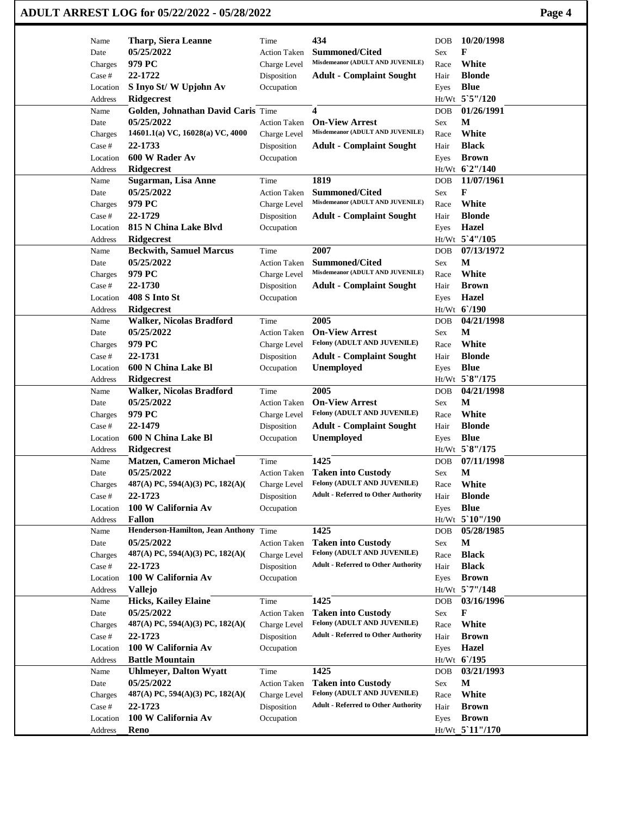|                     | ADULT ARREST LOG for 05/22/2022 - 05/28/2022 |                           |                                                      |            |                                | Page 4 |
|---------------------|----------------------------------------------|---------------------------|------------------------------------------------------|------------|--------------------------------|--------|
| Name                | <b>Tharp, Siera Leanne</b>                   | Time                      | 434                                                  | <b>DOB</b> | 10/20/1998                     |        |
| Date                | 05/25/2022                                   | <b>Action Taken</b>       | <b>Summoned/Cited</b>                                | Sex        | F                              |        |
| Charges             | 979 PC                                       | Charge Level              | Misdemeanor (ADULT AND JUVENILE)                     | Race       | White                          |        |
| Case #              | 22-1722                                      | Disposition               | <b>Adult - Complaint Sought</b>                      | Hair       | <b>Blonde</b>                  |        |
| Location            | S Inyo St/W Upjohn Av                        | Occupation                |                                                      | Eyes       | <b>Blue</b>                    |        |
| Address             | <b>Ridgecrest</b>                            |                           |                                                      |            | Ht/Wt 5`5"/120                 |        |
| Name                | Golden, Johnathan David Caris Time           |                           | 4                                                    | <b>DOB</b> | 01/26/1991                     |        |
| Date                | 05/25/2022                                   | <b>Action Taken</b>       | <b>On-View Arrest</b>                                | Sex        | М                              |        |
| Charges             | 14601.1(a) VC, 16028(a) VC, 4000             | Charge Level              | Misdemeanor (ADULT AND JUVENILE)                     | Race       | White                          |        |
| Case #              | 22-1733                                      | Disposition               | <b>Adult - Complaint Sought</b>                      | Hair       | <b>Black</b>                   |        |
| Location<br>Address | 600 W Rader Av<br><b>Ridgecrest</b>          | Occupation                |                                                      | Eyes       | <b>Brown</b><br>Ht/Wt 6'2"/140 |        |
| Name                | Sugarman, Lisa Anne                          | Time                      | 1819                                                 | DOB        | 11/07/1961                     |        |
| Date                | 05/25/2022                                   | <b>Action Taken</b>       | <b>Summoned/Cited</b>                                | Sex        | F                              |        |
| Charges             | 979 PC                                       | Charge Level              | Misdemeanor (ADULT AND JUVENILE)                     | Race       | White                          |        |
| Case #              | 22-1729                                      | Disposition               | <b>Adult - Complaint Sought</b>                      | Hair       | <b>Blonde</b>                  |        |
| Location            | 815 N China Lake Blvd                        | Occupation                |                                                      | Eyes       | Hazel                          |        |
| <b>Address</b>      | Ridgecrest                                   |                           |                                                      |            | Ht/Wt 5'4"/105                 |        |
| Name                | <b>Beckwith, Samuel Marcus</b>               | Time                      | 2007                                                 | <b>DOB</b> | 07/13/1972                     |        |
| Date                | 05/25/2022                                   | <b>Action Taken</b>       | <b>Summoned/Cited</b>                                | Sex        | M                              |        |
| Charges             | 979 PC                                       | Charge Level              | Misdemeanor (ADULT AND JUVENILE)                     | Race       | White                          |        |
| Case #              | 22-1730                                      | Disposition               | <b>Adult - Complaint Sought</b>                      | Hair       | <b>Brown</b>                   |        |
| Location            | 408 S Into St                                | Occupation                |                                                      | Eyes       | Hazel                          |        |
| Address             | <b>Ridgecrest</b>                            |                           |                                                      |            | Ht/Wt 6'/190                   |        |
| Name                | Walker, Nicolas Bradford                     | Time                      | 2005                                                 | <b>DOB</b> | 04/21/1998                     |        |
| Date                | 05/25/2022                                   | <b>Action Taken</b>       | <b>On-View Arrest</b>                                | Sex        | М                              |        |
| Charges             | 979 PC                                       | Charge Level              | Felony (ADULT AND JUVENILE)                          | Race       | White                          |        |
| Case #              | 22-1731                                      | Disposition               | <b>Adult - Complaint Sought</b>                      | Hair       | <b>Blonde</b>                  |        |
| Location            | 600 N China Lake Bl                          | Occupation                | Unemployed                                           | Eyes       | <b>Blue</b>                    |        |
| Address             | Ridgecrest                                   |                           |                                                      |            | Ht/Wt 5`8"/175                 |        |
| Name                | <b>Walker, Nicolas Bradford</b>              | Time                      | 2005                                                 | <b>DOB</b> | 04/21/1998                     |        |
| Date                | 05/25/2022                                   | <b>Action Taken</b>       | <b>On-View Arrest</b><br>Felony (ADULT AND JUVENILE) | Sex        | M<br>White                     |        |
| Charges<br>Case #   | 979 PC<br>22-1479                            | Charge Level              | <b>Adult - Complaint Sought</b>                      | Race       | <b>Blonde</b>                  |        |
| Location            | 600 N China Lake Bl                          | Disposition<br>Occupation | Unemployed                                           | Hair       | <b>Blue</b>                    |        |
| Address             | Ridgecrest                                   |                           |                                                      | Eyes       | Ht/Wt 5`8"/175                 |        |
| Name                | <b>Matzen, Cameron Michael</b>               | Time                      | 1425                                                 | DOB        | 07/11/1998                     |        |
| Date                | 05/25/2022                                   | <b>Action Taken</b>       | <b>Taken into Custody</b>                            | Sex        | M                              |        |
| Charges             | 487(A) PC, 594(A)(3) PC, 182(A)(             | Charge Level              | Felony (ADULT AND JUVENILE)                          | Race       | White                          |        |
| Case #              | 22-1723                                      | Disposition               | <b>Adult - Referred to Other Authority</b>           | Hair       | <b>Blonde</b>                  |        |
| Location            | 100 W California Av                          | Occupation                |                                                      | Eyes       | <b>Blue</b>                    |        |
| Address             | Fallon                                       |                           |                                                      |            | Ht/Wt 5`10"/190                |        |
| Name                | Henderson-Hamilton, Jean Anthony Time        |                           | 1425                                                 | DOB        | 05/28/1985                     |        |
| Date                | 05/25/2022                                   | <b>Action Taken</b>       | <b>Taken into Custody</b>                            | Sex        | M                              |        |
| Charges             | 487(A) PC, 594(A)(3) PC, 182(A)(             | Charge Level              | Felony (ADULT AND JUVENILE)                          | Race       | <b>Black</b>                   |        |
| Case #              | 22-1723                                      | Disposition               | <b>Adult - Referred to Other Authority</b>           | Hair       | <b>Black</b>                   |        |
| Location            | 100 W California Av                          | Occupation                |                                                      | Eyes       | <b>Brown</b>                   |        |
| Address             | Vallejo                                      |                           |                                                      |            | Ht/Wt 5'7"/148                 |        |
| Name                | <b>Hicks, Kailey Elaine</b>                  | Time                      | 1425                                                 | <b>DOB</b> | 03/16/1996                     |        |
| Date                | 05/25/2022                                   | <b>Action Taken</b>       | <b>Taken into Custody</b>                            | Sex        | F                              |        |
| Charges             | 487(A) PC, 594(A)(3) PC, 182(A)(             | Charge Level              | Felony (ADULT AND JUVENILE)                          | Race       | White                          |        |
| Case #              | 22-1723                                      | Disposition               | <b>Adult - Referred to Other Authority</b>           | Hair       | <b>Brown</b>                   |        |
| Location            | 100 W California Av                          | Occupation                |                                                      | Eyes       | Hazel                          |        |
| Address             | <b>Battle Mountain</b>                       |                           |                                                      |            | Ht/Wt 6/195                    |        |
| Name                | <b>Uhlmeyer, Dalton Wyatt</b>                | Time                      | 1425                                                 | <b>DOB</b> | 03/21/1993                     |        |
| Date                | 05/25/2022                                   | <b>Action Taken</b>       | <b>Taken into Custody</b>                            | Sex        | M                              |        |
| Charges             | 487(A) PC, 594(A)(3) PC, 182(A)(             | Charge Level              | Felony (ADULT AND JUVENILE)                          | Race       | White                          |        |
| Case #              | 22-1723                                      | Disposition               | <b>Adult - Referred to Other Authority</b>           | Hair       | <b>Brown</b>                   |        |
| Location            | 100 W California Av                          | Occupation                |                                                      | Eyes       | <b>Brown</b>                   |        |
| Address             | Reno                                         |                           |                                                      |            | Ht/Wt_5`11"/170                |        |

 $\mathbf{I}$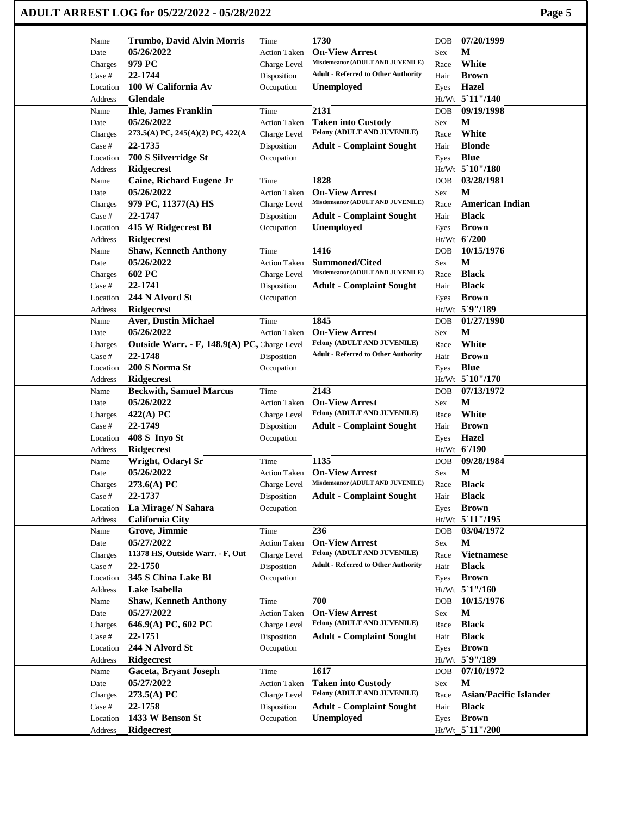## **ADULT ARREST LOG for 05/22/2022 - 05/28/2022 Page 5**

| Name     | Trumbo, David Alvin Morris                   | Time                | 1730                                                 | <b>DOB</b> | 07/20/1999                    |
|----------|----------------------------------------------|---------------------|------------------------------------------------------|------------|-------------------------------|
| Date     | 05/26/2022                                   | <b>Action Taken</b> | <b>On-View Arrest</b>                                | Sex        | M                             |
| Charges  | 979 PC                                       | Charge Level        | Misdemeanor (ADULT AND JUVENILE)                     | Race       | White                         |
| Case #   | 22-1744                                      | Disposition         | <b>Adult - Referred to Other Authority</b>           | Hair       | <b>Brown</b>                  |
| Location | 100 W California Av                          | Occupation          | <b>Unemployed</b>                                    | Eyes       | <b>Hazel</b>                  |
| Address  | Glendale                                     |                     |                                                      |            | Ht/Wt 5'11"/140               |
| Name     | <b>Ihle, James Franklin</b>                  | Time                | 2131                                                 | <b>DOB</b> | 09/19/1998                    |
| Date     | 05/26/2022                                   | <b>Action Taken</b> | <b>Taken into Custody</b>                            | Sex        | М                             |
| Charges  | 273.5(A) PC, 245(A)(2) PC, 422(A             | Charge Level        | Felony (ADULT AND JUVENILE)                          | Race       | White                         |
| Case #   | 22-1735                                      | Disposition         | <b>Adult - Complaint Sought</b>                      | Hair       | <b>Blonde</b>                 |
| Location | 700 S Silverridge St                         | Occupation          |                                                      | Eyes       | <b>Blue</b>                   |
| Address  | <b>Ridgecrest</b>                            |                     |                                                      |            | Ht/Wt 5'10"/180               |
| Name     | Caine, Richard Eugene Jr                     | Time                | 1828                                                 | <b>DOB</b> | 03/28/1981                    |
| Date     | 05/26/2022                                   | <b>Action Taken</b> | <b>On-View Arrest</b>                                | Sex        | M                             |
| Charges  | 979 PC, 11377(A) HS                          | Charge Level        | Misdemeanor (ADULT AND JUVENILE)                     | Race       | <b>American Indian</b>        |
| Case #   | 22-1747                                      | Disposition         | <b>Adult - Complaint Sought</b>                      | Hair       | <b>Black</b>                  |
| Location | 415 W Ridgecrest Bl                          | Occupation          | <b>Unemployed</b>                                    | Eyes       | <b>Brown</b>                  |
| Address  | <b>Ridgecrest</b>                            |                     |                                                      |            | $Ht/Wt$ 6/200                 |
| Name     | <b>Shaw, Kenneth Anthony</b>                 | Time                | 1416                                                 | <b>DOB</b> | 10/15/1976                    |
| Date     | 05/26/2022                                   | <b>Action Taken</b> | <b>Summoned/Cited</b>                                | Sex        | $\mathbf M$                   |
| Charges  | 602 PC                                       | Charge Level        | Misdemeanor (ADULT AND JUVENILE)                     | Race       | <b>Black</b>                  |
| Case #   | 22-1741                                      | Disposition         | <b>Adult - Complaint Sought</b>                      | Hair       | <b>Black</b>                  |
| Location | 244 N Alvord St                              | Occupation          |                                                      | Eyes       | <b>Brown</b>                  |
| Address  | Ridgecrest                                   |                     |                                                      |            | Ht/Wt 5`9"/189                |
| Name     | <b>Aver, Dustin Michael</b>                  | Time                | 1845                                                 | <b>DOB</b> | 01/27/1990                    |
| Date     | 05/26/2022                                   | <b>Action Taken</b> | <b>On-View Arrest</b>                                | Sex        | М                             |
|          |                                              |                     | Felony (ADULT AND JUVENILE)                          |            | White                         |
| Charges  | Outside Warr. - F, 148.9(A) PC, Charge Level |                     | <b>Adult - Referred to Other Authority</b>           | Race       |                               |
| Case #   | 22-1748                                      | Disposition         |                                                      | Hair       | <b>Brown</b>                  |
| Location | 200 S Norma St                               | Occupation          |                                                      | Eyes       | <b>Blue</b>                   |
| Address  | Ridgecrest                                   |                     |                                                      |            | $Ht/Wt$ 5 10"/170             |
| Name     | <b>Beckwith, Samuel Marcus</b>               | Time                | 2143                                                 | <b>DOB</b> | 07/13/1972<br>M               |
| Date     | 05/26/2022                                   | <b>Action Taken</b> | <b>On-View Arrest</b><br>Felony (ADULT AND JUVENILE) | Sex        |                               |
| Charges  | $422(A)$ PC                                  | Charge Level        |                                                      | Race       | White                         |
| Case #   | 22-1749                                      | Disposition         | <b>Adult - Complaint Sought</b>                      | Hair       | <b>Brown</b>                  |
| Location | 408 S Inyo St                                | Occupation          |                                                      | Eyes       | <b>Hazel</b>                  |
| Address  | <b>Ridgecrest</b>                            |                     |                                                      |            | Ht/Wt 6/190                   |
| Name     | Wright, Odaryl Sr                            | Time                | 1135                                                 | <b>DOB</b> | 09/28/1984                    |
| Date     | 05/26/2022                                   | <b>Action Taken</b> | <b>On-View Arrest</b>                                | Sex        | M                             |
| Charges  | $273.6(A)$ PC                                | Charge Level        | Misdemeanor (ADULT AND JUVENILE)                     | Race       | <b>Black</b>                  |
| Case #   | 22-1737                                      | Disposition         | <b>Adult - Complaint Sought</b>                      | Hair       | <b>Black</b>                  |
| Location | La Mirage/ N Sahara                          | Occupation          |                                                      | Eyes       | <b>Brown</b>                  |
| Address  | <b>California City</b>                       |                     |                                                      |            | Ht/Wt 5'11"/195               |
| Name     | Grove, Jimmie                                | Time                | 236                                                  | <b>DOB</b> | 03/04/1972                    |
| Date     | 05/27/2022                                   | <b>Action Taken</b> | <b>On-View Arrest</b>                                | Sex        | M                             |
| Charges  | 11378 HS, Outside Warr. - F, Out             | Charge Level        | Felony (ADULT AND JUVENILE)                          | Race       | <b>Vietnamese</b>             |
| Case #   | 22-1750                                      | Disposition         | <b>Adult - Referred to Other Authority</b>           | Hair       | <b>Black</b>                  |
| Location | 345 S China Lake Bl                          | Occupation          |                                                      | Eyes       | <b>Brown</b>                  |
| Address  | Lake Isabella                                |                     |                                                      |            | Ht/Wt 5'1"/160                |
| Name     | <b>Shaw, Kenneth Anthony</b>                 | Time                | 700                                                  | <b>DOB</b> | 10/15/1976                    |
| Date     | 05/27/2022                                   | <b>Action Taken</b> | <b>On-View Arrest</b>                                | Sex        | M                             |
| Charges  | 646.9(A) PC, 602 PC                          | Charge Level        | Felony (ADULT AND JUVENILE)                          | Race       | <b>Black</b>                  |
| Case #   | 22-1751                                      | Disposition         | <b>Adult - Complaint Sought</b>                      | Hair       | <b>Black</b>                  |
| Location | 244 N Alvord St                              | Occupation          |                                                      | Eyes       | <b>Brown</b>                  |
| Address  | <b>Ridgecrest</b>                            |                     |                                                      |            | Ht/Wt 5`9"/189                |
| Name     | Gaceta, Bryant Joseph                        | Time                | 1617                                                 | <b>DOB</b> | 07/10/1972                    |
| Date     | 05/27/2022                                   | Action Taken        | <b>Taken into Custody</b>                            | Sex        | $\mathbf{M}$                  |
| Charges  | 273.5(A) PC                                  | Charge Level        | Felony (ADULT AND JUVENILE)                          | Race       | <b>Asian/Pacific Islander</b> |
|          |                                              |                     |                                                      |            |                               |
| Case #   | 22-1758                                      | Disposition         | <b>Adult - Complaint Sought</b>                      | Hair       | <b>Black</b>                  |
| Location | 1433 W Benson St                             | Occupation          | Unemployed                                           | Eyes       | <b>Brown</b>                  |
| Address  | Ridgecrest                                   |                     |                                                      |            | Ht/Wt 5'11"/200               |